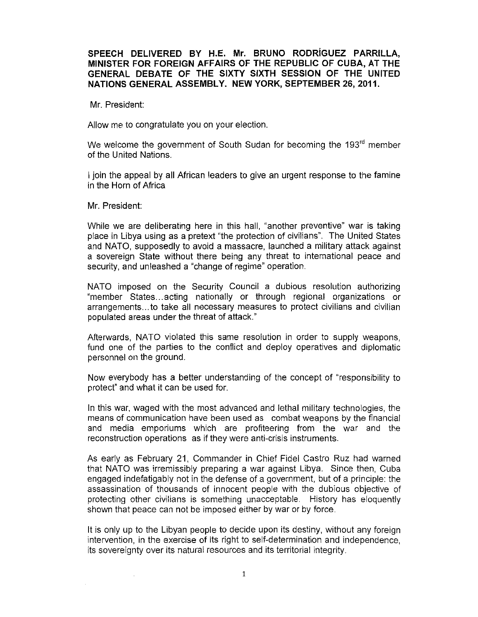# SPEECH DELIVERED BY H.E. Mr. BRUNO RODRiGUEZ PARRILLA, MINISTER FOR FOREIGN AFFAIRS OF THE REPUBLIC OF CUBA, AT THE GENERAL DEBATE OF THE SIXTY SIXTH SESSION OF THE UNITED NATIONS GENERAL ASSEMBLY. NEW YORK, SEPTEMBER 26, 2011.

Mr. President:

Allow me to congratulate you on your election.

We welcome the government of South Sudan for becoming the 193<sup>rd</sup> member of the United Nations.

I join the appeal by all African leaders to give an urgent response to the famine in the Horn of Africa

Mr. President:

While we are deliberating here in this hall, "another preventive" war is taking place in Libya using as a pretext "the protection of civilians". The United States and NATO, supposedly to avoid a massacre, launched a military attack against a sovereign State without there being any threat to international peace and security, and unleashed a "change of regime" operation.

NATO imposed on the Security Council a dubious resolution authorizing "member States... acting nationally or through regional organizations or arrangements... to take all necessary measures to protect civilians and civilian populated areas under the threat of attack."

Afterwards, NATO violated this same resolution in order to supply weapons, fund one of the parties to the conflict and deploy operatives and diplomatic personnel on the ground.

Now everybody has a better understanding of the concept of "responsibility to protect" and what it can be used for.

In this war, waged with the most advanced and lethal military technologies, the means of communication have been used as combat weapons by the financial and media emporiums which are profiteering from the war and the reconstruction operations as if they were anti-crisis instruments.

As early as February 21, Commander in Chief Fidel Castro Ruz had warned that NATO was irremissibly preparing a war against Libya. Since then, Cuba engaged indefatigably not in the defense of a government, but of a principle: the assassination of thousands of innocent people with the dubious objective of protecting other civilians is something unacceptable. History has eloquently shown that peace can not be imposed either by war or by force.

It is only up to the Libyan people to decide upon its destiny, without any foreign intervention, in the exercise of its right to self-determination and independence, its sovereignty over its natural resources and its territorial integrity.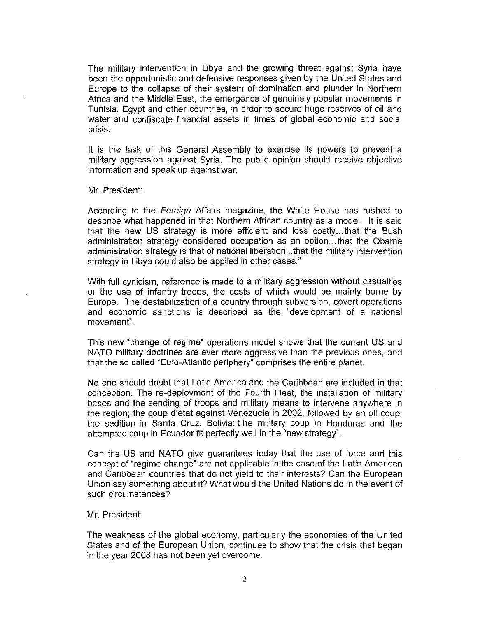The military intervention in Libya and the growing threat against Syria have been the opportunistic and defensive responses given by the United States and Europe to the collapse of their system of domination and plunder in Northern Africa and the Middle East, the emergence of genuinely popular movements in Tunisia, Egypt and other countries, in order to secure huge reserves of oil and water and confiscate financial assets in times of global economic and social crisis.

It is the task of this General Assembly to exercise its powers to prevent a military aggression against Syria. The public opinion should receive objective information and speak up against war.

#### Mr. President:

According to the Foreign Affairs magazine, the White House has rushed to describe what happened in that Northern African country as a model. It is said that the new US strategy is more efficient and less costly... that the Bush administration strategy considered occupation as an option ... that the Obama administration strategy is that of nationalliberation...that the military intervention strategy in Libya could also be applied in other cases."

With full cynicism, reference is made to a military aggression without casualties or the use of infantry troops, the costs of which would be mainly borne by Europe. The destabilization of a country through subversion, covert operations and economic sanctions is described as the "development of a national movement".

This new "change of regime" operations model shows that the current US and NATO military doctrines are ever more aggressive than the previous ones, and that the so called "Euro-Atlantic periphery" comprises the entire planet.

No one should doubt that Latin America and the Caribbean are included in that conception. The re-deployment of the Fourth Fleet, the installation of military bases and the sending of troops and military means to intervene anywhere in the region; the coup d'état against Venezuela in 2002, followed by an oil coup; the sedition in Santa Cruz, Bolivia; t he military coup in Honduras and the attempted coup in Ecuador fit perfectly well in the "new strategy".

Can the US and NATO give guarantees today that the use of force and this concept of "regime change" are not applicable in the case of the Latin American and Caribbean countries that do not yield to their interests? Can the European Union say something about it? What would the United Nations do in the event of such circumstances?

### Mr. President:

The weakness of the global economy, particularly the economies of the United States and of the European Union, continues to show that the crisis that began in the year 2008 has not been yet overcome.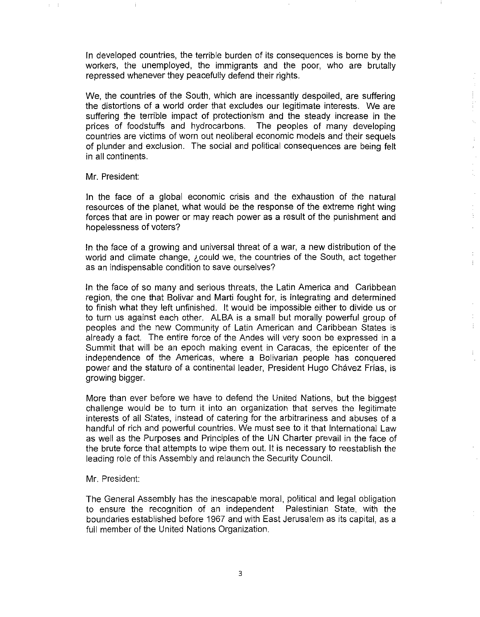In developed countries, the terrible burden of its consequences is borne by the workers, the unemployed, the immigrants and the poor, who are brutally repressed whenever they peacefully defend their rights.

 $\frac{1}{2}$ 

 $\frac{1}{3}^{\frac{1}{3}}$ 

 $\hat{\vec{r}}$  $\bar{z}$  $\hat{\mathcal{A}}$ i<br>A

 $\bar{z}$ 

 $\begin{array}{c} \frac{1}{2} \\ \frac{1}{2} \end{array}$  $\hat{\mathcal{L}}$ 

 $\frac{1}{2}$ 

÷

÷

We, the countries of the South, which are incessantly despoiled, are suffering the distortions of a world order that excludes our legitimate interests. We are suffering the terrible impact of protectionism and the steady increase in the prices of foodstuffs and hydrocarbons. The peoples of many developing countries are victims of worn out neoliberal economic models and their sequels of plunder and exclusion. The social and political consequences are being felt in all continents.

### Mr. President:

 $\rm i$ 

 $\epsilon=1$ 

In the face of a global economic crisis and the exhaustion of the natural resources of the planet, what would be the response of the extreme right wing forces that are in power or may reach power as a result of the punishment and hopelessness of voters?

In the face of a growing and universal threat of a war, a new distribution of the world and climate change, *i*,could we, the countries of the South, act together as an indispensable condition to save ourselves?

In the face of so many and serious threats, the Latin America and Caribbean region, the one that Bolivar and Marti fought for, is integrating and determined to finish what they left unfinished. It would be impossible either to divide us or to turn us against each other. ALBA is a small but morally powerful group of peoples and the new Community of Latin American and Caribbean States is already a fact. The entire force of the Andes will very soon be expressed in a Summit that will be an epoch making event in Caracas, the epicenter of the independence of the Americas, where a Bolivarian people has conquered power and the stature of a continental leader, President Hugo Chávez Frías, is growing bigger.

More than ever before we have to defend the United Nations, but the biggest challenge would be to turn it into an organization that serves the legitimate interests of all States, instead of catering for the arbitrariness and abuses of a handful of rich and powerful countries. We must see to it that International Law as well as the Purposes and Principles of the UN Charter prevail in the face of the brute force that attempts to wipe them out. It is necessary to reestablish the leading role of this Assembly and relaunch the Security Council.

### Mr. President:

The General Assembly has the inescapable moral, political and legal obligation to ensure the recognition of an independent Palestinian State, with the boundaries established before 1967 and with East Jerusalem as its capital, as a full member of the United Nations Organization.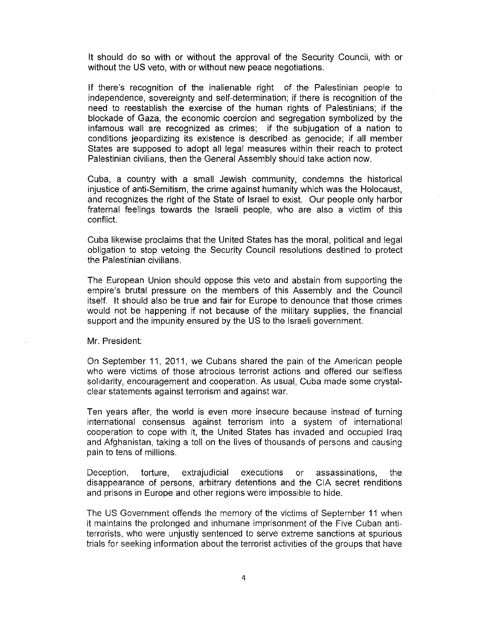It should do so with or without the approval of the Security Council, with or without the US veto, with or without new peace negotiations.

If there's recognition of the inalienable right of the Palestinian people to independence, sovereignty and self-determination; if there is recognition of the need to reestablish the exercise of the human rights of Palestinians; if the blockade of Gaza, the economic coercion and segregation symbolized by the infamous wall are recognized as crimes; if the subjugation of a nation to conditions jeopardizing its existence is described as genocide; if all member States are supposed to adopt all legal measures within their reach to protect Palestinian civilians, then the General Assembly should take action now.

Cuba, a country with a small Jewish community, condemns the historical injustice of anti-Semitism, the crime against humanity which was the Holocaust, and recognizes the right of the State of Israel to exist. Our people only harbor fraternal feelings towards the Israeli people, who are also a victim of this conflict.

Cuba likewise proclaims that the United States has the moral, political and legal obligation to stop vetoing the Security Council resolutions destined to protect the Palestinian civilians.

The European Union should oppose this veto and abstain from supporting the empire's brutal pressure on the members of this Assernbly and the Council itself. It should also be true and fair for Europe to denounce that those crimes would not be happening if not because of the military supplies, the financial support and the impunity ensured by the US to the Israeli government.

Mr. President:

On September 11, 2011, we Cubans shared the pain of the American people who were victims of those atrocious terrorist actions and offered our selfless solidarity, encouragement and cooperation. As usual, Cuba made some crystalclear statements against terrorism and against war.

Ten years after, the world is even more insecure because instead of turning international consensus against terrorism into a system of international cooperation to cope with it, the United States has invaded and occupied Iraq and Afghanistan, taking a toll on the lives of thousands of persons and causing pain to tens of millions.

Deception, torture, extrajudicial executions or assassinations, the disappearance of persons, arbitrary detentions and the CIA secret renditions and prisons in Europe and other regions were impossible to hide.

The US Government offends the memory of the victims of September 11 when it maintains the prolonged and inhumane imprisonment of the Five Cuban antiterrorists, who were unjustly sentenced to serve extreme sanctions at spurious trials for seeking information about the terrorist activities of the groups that have